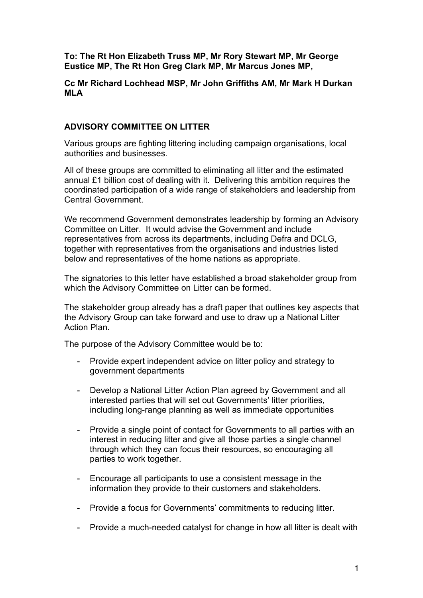**To: The Rt Hon Elizabeth Truss MP, Mr Rory Stewart MP, Mr George Eustice MP, The Rt Hon Greg Clark MP, Mr Marcus Jones MP,** 

**Cc Mr Richard Lochhead MSP, Mr John Griffiths AM, Mr Mark H Durkan MLA**

## **ADVISORY COMMITTEE ON LITTER**

Various groups are fighting littering including campaign organisations, local authorities and businesses.

All of these groups are committed to eliminating all litter and the estimated annual £1 billion cost of dealing with it. Delivering this ambition requires the coordinated participation of a wide range of stakeholders and leadership from Central Government.

We recommend Government demonstrates leadership by forming an Advisory Committee on Litter. It would advise the Government and include representatives from across its departments, including Defra and DCLG, together with representatives from the organisations and industries listed below and representatives of the home nations as appropriate.

The signatories to this letter have established a broad stakeholder group from which the Advisory Committee on Litter can be formed.

The stakeholder group already has a draft paper that outlines key aspects that the Advisory Group can take forward and use to draw up a National Litter Action Plan.

The purpose of the Advisory Committee would be to:

- Provide expert independent advice on litter policy and strategy to government departments
- Develop a National Litter Action Plan agreed by Government and all interested parties that will set out Governments' litter priorities, including long-range planning as well as immediate opportunities
- Provide a single point of contact for Governments to all parties with an interest in reducing litter and give all those parties a single channel through which they can focus their resources, so encouraging all parties to work together.
- Encourage all participants to use a consistent message in the information they provide to their customers and stakeholders.
- Provide a focus for Governments' commitments to reducing litter.
- Provide a much-needed catalyst for change in how all litter is dealt with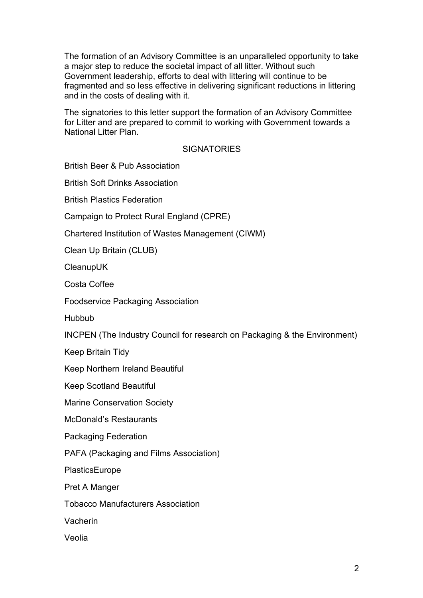The formation of an Advisory Committee is an unparalleled opportunity to take a major step to reduce the societal impact of all litter. Without such Government leadership, efforts to deal with littering will continue to be fragmented and so less effective in delivering significant reductions in littering and in the costs of dealing with it.

The signatories to this letter support the formation of an Advisory Committee for Litter and are prepared to commit to working with Government towards a National Litter Plan.

## **SIGNATORIES**

British Beer & Pub Association

British Soft Drinks Association

British Plastics Federation

Campaign to Protect Rural England (CPRE)

Chartered Institution of Wastes Management (CIWM)

Clean Up Britain (CLUB)

**CleanupUK** 

Costa Coffee

Foodservice Packaging Association

**Hubbub** 

INCPEN (The Industry Council for research on Packaging & the Environment)

Keep Britain Tidy

Keep Northern Ireland Beautiful

Keep Scotland Beautiful

Marine Conservation Society

McDonald's Restaurants

Packaging Federation

PAFA (Packaging and Films Association)

PlasticsEurope

Pret A Manger

Tobacco Manufacturers Association

Vacherin

Veolia